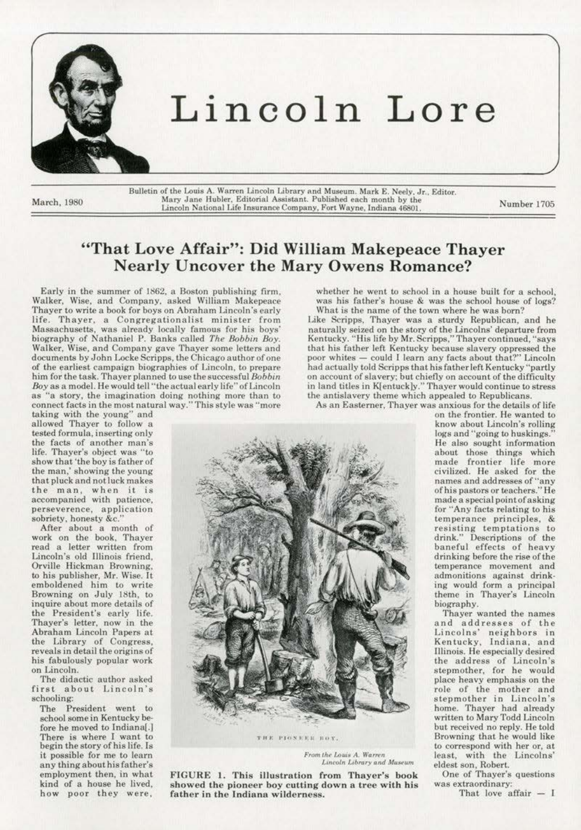

Bulletin of the Louis A. Warren Lincoln Library and Museum. Mark E. Neely. Jr., Editor. Mary Jane Hubler, Editorial Assistant. Published each month by the March, 1980 Mary Jane Hubler, Editorial Assistant. Published each month by the Mumber 1705<br>Lincoln National Life Insurance Company, Fort Wayne, Indiana 46801.

Lincoln Lore

# "That Love Affair": Did William Makepeace Thayer Nearly Uncover the Mary Owens Romance?

Early in the summer of 1862, a Boston publishing firm, Walker, Wise. and Company, asked William Makepeace Thayer to write a book for boys on Abraham Lincoln 's early life. Thayer, a Congregationalist minister from Massachusetts. was already locally famous for his boys' biography of Nathaniel P. Sanks called *The Bobbin Boy.*  Walker, Wise, and Company gave Thayer some letters and documents by John Locke Scripps, the Chicago author of one of the earliest campaign biographies of Lincoln, to prepare him for the task. Thayer planned to use the successful *Bobbin Boy* as a model. He would tell "the actual early life" of Lincoln as "a story, the imagination doing nothing more than to connect facts in the most natural way." This style was "more

taking with the young" and allowed Thayer to follow a tested formula, inserting only the facts of another man's life. Thayer's object was "to show that 'the boy is father of the man.' showing the young that pluck and not luck makes the man, when it is accompanied with patience. perseverence, application sobriety, honesty &c."

After about a month of work on the book, Thayer read a letter written from Lincoln's old Illinois friend, Orville Hickman Browning, to his publisher, Mr. Wise. It embo ldened him to write Browning on July 18th, to inquire about more details of the President's early life. Thayer's letter, now in the Abraham Lincoln Papers at the Library of Congress, reveals in detail the origins of his fabulously popular work on Lincoln.

The didactic author asked first about Lincoln's schooling:

The President went to school some in Kentucky before he moved to Indiana[.] There is where I want to begin the story of his life. Is it possible for me to learn any thing about his father's employment then, in what kind of a house he lived, how poor they were,

whether he went to school in a house built for a school, was his father's house & was the school house of logs? What is the name of the town where he was born?

Like Scripps, Thayer was a sturdy Republican, and he naturally seized on the story of the Lincolns' departure from Kentucky. "His life by Mr. Scripps," Thayer continued, "says that his father left Kentucky because slavery oppressed the poor whites - could I learn any facts about that?" Lincoln had actually told Scripps that his father left Kentucky "partly on account of slavery; but chiefly on account of the difficulty in land titles in K[entuck]y." Thayer would continue to stress the antislavery theme which appealed to Republicans.

As an Easterner, Thayer was anxious for the details of lire



THE PIONEER ROY.

From the Louis A. Warren<br>*Lincoln Library and Museum* 

FIGURE I. This illustration from Thayer's book showed the pioneer boy cutting down a tree with his father in the Indiana wilderness.

on the frontier. He wanted to know about Lincoln's rolling logs and ''going to huskings.'' He also sought information about those things which made frontier life more civilized. He asked for the names and addresses of"any of his pastors or teachers." He made a special point of asking for "Any facts relating to his temperance principles, & resisting temptations to drink." Descriptions of the baneful effects of heavy drinking before the rise of the temperance movement and admonitions against drink· ing would form a principal theme in Thayer's Lincoln biography.

Thayer wanted the names and addresses of the Lincolns' neighbors in Kentucky, Indiana, and Illinois. He especially desired the address of Lincoln's stepmother. for he would place heavy emphasis on the role of the mother a nd stepmother in Lincoln's home. Thayer had already written to Mary Todd Lincoln but received no reply. He told Browning that he would like to correspond with her or. at least, with the Lincolns'

One or Thayer's questions was extraordinary: That love affair  $-$  I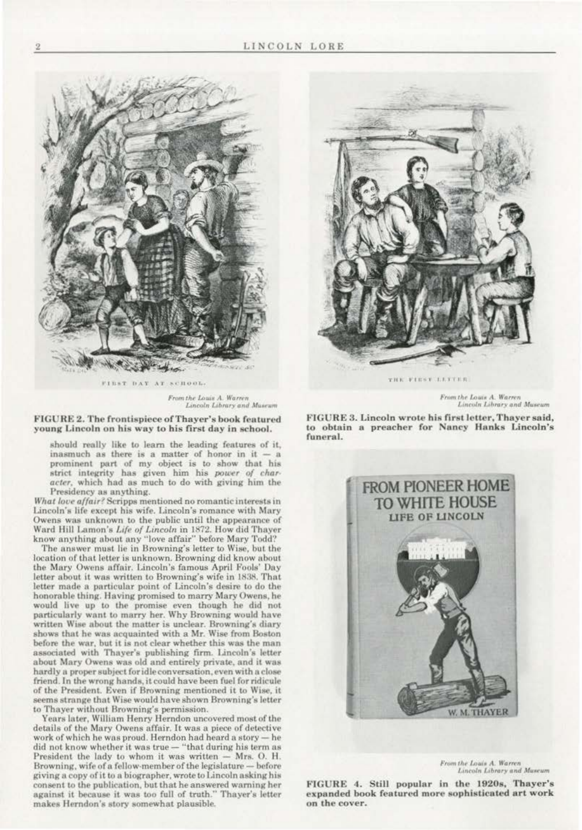

From the Louis A. Warren Lincoln Library and Museum

FIGURE 2. The frontispiece of Thayer's book featured young Lincoln on his way to his first day in school.

should really like to learn the leading features of it, inasmuch as there is a matter of honor in it prominent part of my object is to show that his strict integrity has given him his power of character, which had as much to do with giving him the Presidency as anything.

What love affair? Scripps mentioned no romantic interests in Lincoln's life except his wife. Lincoln's romance with Mary Owens was unknown to the public until the appearance of Ward Hill Lamon's Life of Lincoln in 1872. How did Thayer know anything about any "love affair" before Mary Todd?

The answer must lie in Browning's letter to Wise, but the location of that letter is unknown. Browning did know about the Mary Owens affair. Lincoln's famous April Fools' Day letter about it was written to Browning's wife in 1838. That letter made a particular point of Lincoln's desire to do the honorable thing. Having promised to marry Mary Owens, he would live up to the promise even though he did not particularly want to marry her. Why Browning would have written Wise about the matter is unclear. Browning's diary shows that he was acquainted with a Mr. Wise from Boston before the war, but it is not clear whether this was the man associated with Thayer's publishing firm. Lincoln's letter about Mary Owens was old and entirely private, and it was hardly a proper subject for idle conversation, even with a close friend. In the wrong hands, it could have been fuel for ridicule of the President. Even if Browning mentioned it to Wise, it seems strange that Wise would have shown Browning's letter to Thayer without Browning's permission.

Years later, William Henry Herndon uncovered most of the details of the Mary Owens affair. It was a piece of detective work of which he was proud. Herndon had heard a story - he did not know whether it was true - "that during his term as President the lady to whom it was written - Mrs. O. H. Browning, wife of a fellow-member of the legislature - before giving a copy of it to a biographer, wrote to Lincoln asking his consent to the publication, but that he answered warning her against it because it was too full of truth." Thayer's letter makes Herndon's story somewhat plausible.



From the Louis A. Warren<br>Lincoln Library and Museum

FIGURE 3. Lincoln wrote his first letter, Thayer said, to obtain a preacher for Nancy Hanks Lincoln's funeral.



From the Louis A. Warren Lincoln Library and Museum

FIGURE 4. Still popular in the 1920s, Thayer's expanded book featured more sophisticated art work on the cover.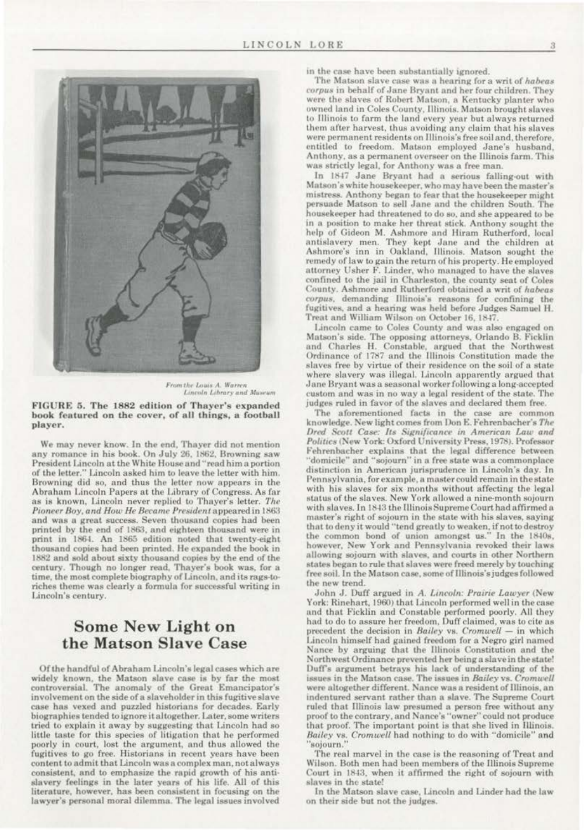

**From the Louis A. Warren**<br>Linvoln Library and Museus

FIGURE 5. The 1882 edition of Thayer's expanded book featured on the cover, of all things, a football player.

We may never know. In the end, Thayer did not mention any romance in his book. On July 26, 1862, Browning saw President Lincoln at the White House and "read him a portion of the letter." Lincoln asked him to leave the letter with him. Browning did so, and thus the letter now appears in the Abraham Lincoln Papers at the Library of Congress. As far as is known, Lincoln never replied to Thayer's letter. The Pioneer Boy, and How He Became President appeared in 1863 and was a great success. Seven thousand copies had been printed by the end of 1863, and eighteen thousand were in print in 1864. An 1865 edition noted that twenty-eight thousand copies had been printed. He expanded the book in 1882 and sold about sixty thousand copies by the end of the century. Though no longer read, Thayer's book was, for a time, the most complete biography of Lincoln, and its rags-toriches theme was clearly a formula for successful writing in Lincoln's century.

# **Some New Light on** the Matson Slave Case

Of the handful of Abraham Lincoln's legal cases which are widely known, the Matson slave case is by far the most controversial. The anomaly of the Great Emancipator's involvement on the side of a slaveholder in this fugitive slave case has vexed and puzzled historians for decades. Early biographies tended to ignore it altogether. Later, some writers tried to explain it away by suggesting that Lincoln had so little taste for this species of litigation that he performed poorly in court, lost the argument, and thus allowed the fugitives to go free. Historians in recent years have been content to admit that Lincoln was a complex man, not always consistent, and to emphasize the rapid growth of his antislavery feelings in the later years of his life. All of this literature, however, has been consistent in focusing on the lawyer's personal moral dilemma. The legal issues involved in the case have been substantially ignored.

The Matson slave case was a hearing for a writ of habeas corpus in behalf of Jane Bryant and her four children. They were the slaves of Robert Matson, a Kentucky planter who owned land in Coles County, Illinois. Matson brought slaves to Illinois to farm the land every year but always returned them after harvest, thus avoiding any claim that his slaves were permanent residents on Illinois's free soil and, therefore, entitled to freedom. Matson employed Jane's husband, Anthony, as a permanent overseer on the Illinois farm. This was strictly legal, for Anthony was a free man.

In 1847 Jane Bryant had a serious falling-out with Matson's white housekeeper, who may have been the master's mistress. Anthony began to fear that the housekeeper might persuade Matson to sell Jane and the children South. The housekeeper had threatened to do so, and she appeared to be in a position to make her threat stick. Anthony sought the help of Gideon M. Ashmore and Hiram Rutherford, local antislavery men. They kept Jane and the children at Ashmore's inn in Oakland, Illinois. Matson sought the remedy of law to gain the return of his property. He employed attorney Usher F. Linder, who managed to have the slaves confined to the jail in Charleston, the county seat of Coles County. Ashmore and Rutherford obtained a writ of habeas corpus, demanding Illinois's reasons for confining the fugitives, and a hearing was held before Judges Samuel H. Treat and William Wilson on October 16, 1847.

Lincoln came to Coles County and was also engaged on Matson's side. The opposing attorneys, Orlando B. Ficklin and Charles H. Constable, argued that the Northwest Ordinance of 1787 and the Illinois Constitution made the slaves free by virtue of their residence on the soil of a state where slavery was illegal. Lincoln apparently argued that Jane Bryant was a seasonal worker following a long-accepted custom and was in no way a legal resident of the state. The judges ruled in favor of the slaves and declared them free.

The aforementioned facts in the case are common knowledge. New light comes from Don E. Fehrenbacher's The Dred Scott Case: Its Significance in American Law and Politics (New York: Oxford University Press, 1978). Professor Fehrenbacher explains that the legal difference between "domicile" and "sojourn" in a free state was a commonplace distinction in American jurisprudence in Lincoln's day. In Pennsylvania, for example, a master could remain in the state with his slaves for six months without affecting the legal status of the slaves. New York allowed a nine-month sojourn with slaves. In 1843 the Illinois Supreme Court had affirmed a master's right of sojourn in the state with his slaves, saying that to deny it would "tend greatly to weaken, if not to destroy the common bond of union amongst us." In the 1840s, however, New York and Pennsylvania revoked their laws allowing sojourn with slaves, and courts in other Northern states began to rule that slaves were freed merely by touching free soil. In the Matson case, some of Illinois's judges followed the new trend.

John J. Duff argued in A. Lincoln: Prairie Lawyer (New York: Rinehart, 1960) that Lincoln performed well in the case and that Ficklin and Constable performed poorly. All they had to do to assure her freedom, Duff claimed, was to cite as precedent the decision in Bailey vs. Cromwell - in which Lincoln himself had gained freedom for a Negro girl named Nance by arguing that the Illinois Constitution and the Northwest Ordinance prevented her being a slave in the state! Duff's argument betrays his lack of understanding of the issues in the Matson case. The issues in Bailey vs. Cromwell were altogether different. Nance was a resident of Illinois, an indentured servant rather than a slave. The Supreme Court ruled that Illinois law presumed a person free without any proof to the contrary, and Nance's "owner" could not produce that proof. The important point is that she lived in Illinois. Bailey vs. Cromwell had nothing to do with "domicile" and sojourn."

The real marvel in the case is the reasoning of Treat and Wilson. Both men had been members of the Illinois Supreme Court in 1843, when it affirmed the right of sojourn with slaves in the state!

In the Matson slave case, Lincoln and Linder had the law on their side but not the judges.